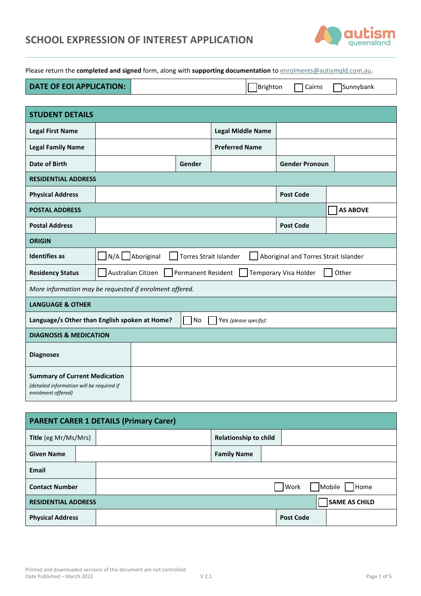| SCHOOL EXPRESSION OF INTEREST APPLICATION |  |
|-------------------------------------------|--|
|-------------------------------------------|--|



Please return the **completed and signed** form, along with **supporting documentation** to [enrolments@autismqld.com.au.](mailto:enrolments@autismqld.com.au)

| <b>DATE OF EOI APPLICATION:</b> | Brighton | Cairns | Sunnybank |  |
|---------------------------------|----------|--------|-----------|--|
|---------------------------------|----------|--------|-----------|--|

| <b>STUDENT DETAILS</b>                                                                                  |                  |                    |                               |                          |                                       |                 |
|---------------------------------------------------------------------------------------------------------|------------------|--------------------|-------------------------------|--------------------------|---------------------------------------|-----------------|
| <b>Legal First Name</b>                                                                                 |                  |                    |                               | <b>Legal Middle Name</b> |                                       |                 |
| <b>Legal Family Name</b>                                                                                |                  |                    |                               | <b>Preferred Name</b>    |                                       |                 |
| Date of Birth                                                                                           |                  |                    | Gender                        |                          | <b>Gender Pronoun</b>                 |                 |
| <b>RESIDENTIAL ADDRESS</b>                                                                              |                  |                    |                               |                          |                                       |                 |
| <b>Physical Address</b>                                                                                 |                  |                    |                               |                          | <b>Post Code</b>                      |                 |
| <b>POSTAL ADDRESS</b>                                                                                   |                  |                    |                               |                          |                                       | <b>AS ABOVE</b> |
| <b>Postal Address</b>                                                                                   |                  |                    |                               |                          | <b>Post Code</b>                      |                 |
| <b>ORIGIN</b>                                                                                           |                  |                    |                               |                          |                                       |                 |
| <b>Identifies as</b>                                                                                    | N/A   Aboriginal |                    | <b>Torres Strait Islander</b> |                          | Aboriginal and Torres Strait Islander |                 |
| <b>Residency Status</b>                                                                                 |                  | Australian Citizen | <b>Permanent Resident</b>     |                          | Temporary Visa Holder                 | Other           |
| More information may be requested if enrolment offered.                                                 |                  |                    |                               |                          |                                       |                 |
| <b>LANGUAGE &amp; OTHER</b>                                                                             |                  |                    |                               |                          |                                       |                 |
| Language/s Other than English spoken at Home?                                                           |                  |                    | No                            | Yes (please specify):    |                                       |                 |
| <b>DIAGNOSIS &amp; MEDICATION</b>                                                                       |                  |                    |                               |                          |                                       |                 |
| <b>Diagnoses</b>                                                                                        |                  |                    |                               |                          |                                       |                 |
| <b>Summary of Current Medication</b><br>(detailed information will be required if<br>enrolment offered) |                  |                    |                               |                          |                                       |                 |

| <b>PARENT CARER 1 DETAILS (Primary Carer)</b> |  |  |                              |  |                  |                      |
|-----------------------------------------------|--|--|------------------------------|--|------------------|----------------------|
| Title (eg Mr/Ms/Mrs)                          |  |  | <b>Relationship to child</b> |  |                  |                      |
| <b>Given Name</b>                             |  |  | <b>Family Name</b>           |  |                  |                      |
| Email                                         |  |  |                              |  |                  |                      |
| <b>Contact Number</b>                         |  |  |                              |  | Work             | Mobile<br>Home       |
| <b>RESIDENTIAL ADDRESS</b>                    |  |  |                              |  |                  | <b>SAME AS CHILD</b> |
| <b>Physical Address</b>                       |  |  |                              |  | <b>Post Code</b> |                      |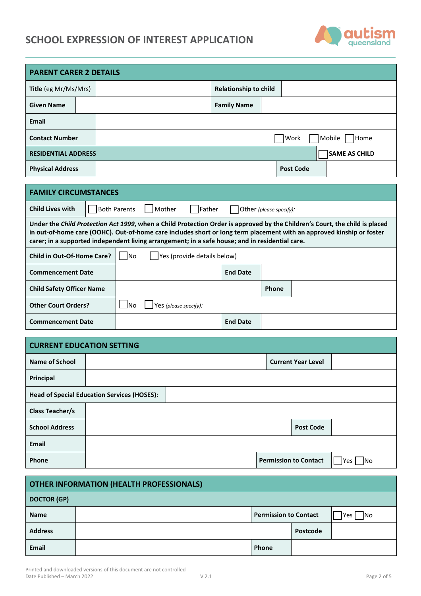# **SCHOOL EXPRESSION OF INTEREST APPLICATION**



| <b>PARENT CARER 2 DETAILS</b>                                                                                                                                                                                                                                                                                                                           |  |                                    |                     |  |        |                       |              |                              |  |      |                  |                      |  |
|---------------------------------------------------------------------------------------------------------------------------------------------------------------------------------------------------------------------------------------------------------------------------------------------------------------------------------------------------------|--|------------------------------------|---------------------|--|--------|-----------------------|--------------|------------------------------|--|------|------------------|----------------------|--|
| <b>Title</b> (eg Mr/Ms/Mrs)                                                                                                                                                                                                                                                                                                                             |  |                                    |                     |  |        |                       |              | <b>Relationship to child</b> |  |      |                  |                      |  |
| <b>Given Name</b>                                                                                                                                                                                                                                                                                                                                       |  |                                    |                     |  |        |                       |              | <b>Family Name</b>           |  |      |                  |                      |  |
| <b>Email</b>                                                                                                                                                                                                                                                                                                                                            |  |                                    |                     |  |        |                       |              |                              |  |      |                  |                      |  |
| <b>Contact Number</b>                                                                                                                                                                                                                                                                                                                                   |  |                                    |                     |  |        |                       |              |                              |  | Work |                  | Mobile<br>Home       |  |
| <b>RESIDENTIAL ADDRESS</b>                                                                                                                                                                                                                                                                                                                              |  |                                    |                     |  |        |                       |              |                              |  |      |                  | <b>SAME AS CHILD</b> |  |
| <b>Physical Address</b>                                                                                                                                                                                                                                                                                                                                 |  |                                    |                     |  |        |                       |              |                              |  |      | <b>Post Code</b> |                      |  |
|                                                                                                                                                                                                                                                                                                                                                         |  |                                    |                     |  |        |                       |              |                              |  |      |                  |                      |  |
| <b>FAMILY CIRCUMSTANCES</b>                                                                                                                                                                                                                                                                                                                             |  |                                    |                     |  |        |                       |              |                              |  |      |                  |                      |  |
| <b>Child Lives with</b>                                                                                                                                                                                                                                                                                                                                 |  |                                    | <b>Both Parents</b> |  | Mother | Father                |              | Other (please specify):      |  |      |                  |                      |  |
| Under the Child Protection Act 1999, when a Child Protection Order is approved by the Children's Court, the child is placed<br>in out-of-home care (OOHC). Out-of-home care includes short or long term placement with an approved kinship or foster<br>carer; in a supported independent living arrangement; in a safe house; and in residential care. |  |                                    |                     |  |        |                       |              |                              |  |      |                  |                      |  |
| Child in Out-Of-Home Care?                                                                                                                                                                                                                                                                                                                              |  | lNo<br>Yes (provide details below) |                     |  |        |                       |              |                              |  |      |                  |                      |  |
| <b>Commencement Date</b>                                                                                                                                                                                                                                                                                                                                |  | <b>End Date</b>                    |                     |  |        |                       |              |                              |  |      |                  |                      |  |
| <b>Child Safety Officer Name</b>                                                                                                                                                                                                                                                                                                                        |  |                                    |                     |  |        |                       | <b>Phone</b> |                              |  |      |                  |                      |  |
| <b>Other Court Orders?</b>                                                                                                                                                                                                                                                                                                                              |  |                                    | No                  |  |        | Yes (please specify): |              |                              |  |      |                  |                      |  |

**Commencement Date End Date End Date** 

| <b>CURRENT EDUCATION SETTING</b> |                                                    |                              |  |  |  |  |
|----------------------------------|----------------------------------------------------|------------------------------|--|--|--|--|
| <b>Name of School</b>            |                                                    | <b>Current Year Level</b>    |  |  |  |  |
| Principal                        |                                                    |                              |  |  |  |  |
|                                  | <b>Head of Special Education Services (HOSES):</b> |                              |  |  |  |  |
| <b>Class Teacher/s</b>           |                                                    |                              |  |  |  |  |
| <b>School Address</b>            |                                                    | <b>Post Code</b>             |  |  |  |  |
| Email                            |                                                    |                              |  |  |  |  |
| Phone                            |                                                    | <b>Permission to Contact</b> |  |  |  |  |

| <b>OTHER INFORMATION (HEALTH PROFESSIONALS)</b> |  |                              |          |                            |
|-------------------------------------------------|--|------------------------------|----------|----------------------------|
| <b>DOCTOR (GP)</b>                              |  |                              |          |                            |
| <b>Name</b>                                     |  | <b>Permission to Contact</b> |          | <b>I</b> Yes<br><b>INO</b> |
| <b>Address</b>                                  |  |                              | Postcode |                            |
| <b>Email</b>                                    |  | Phone                        |          |                            |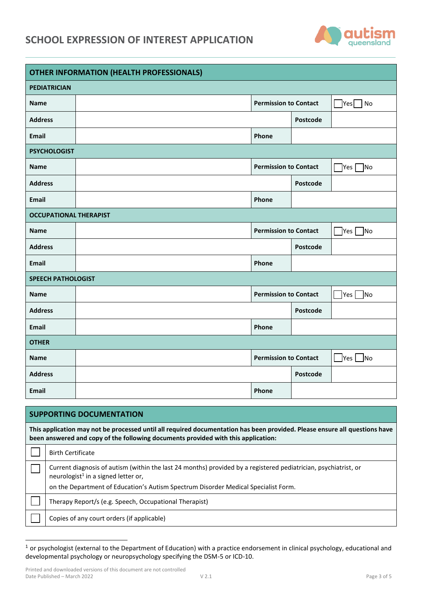## **SCHOOL EXPRESSION OF INTEREST APPLICATION**



| <b>OTHER INFORMATION (HEALTH PROFESSIONALS)</b> |  |                              |          |                         |
|-------------------------------------------------|--|------------------------------|----------|-------------------------|
| <b>PEDIATRICIAN</b>                             |  |                              |          |                         |
| <b>Name</b>                                     |  | <b>Permission to Contact</b> |          | $Yes$ No                |
| <b>Address</b>                                  |  |                              | Postcode |                         |
| Email                                           |  | Phone                        |          |                         |
| <b>PSYCHOLOGIST</b>                             |  |                              |          |                         |
| <b>Name</b>                                     |  | <b>Permission to Contact</b> |          | $\exists$ Yes $\Box$ No |
| <b>Address</b>                                  |  |                              | Postcode |                         |
| <b>Email</b>                                    |  | Phone                        |          |                         |
| <b>OCCUPATIONAL THERAPIST</b>                   |  |                              |          |                         |
| <b>Name</b>                                     |  | <b>Permission to Contact</b> |          | $\gamma$ es $\Box$ No   |
| <b>Address</b>                                  |  |                              | Postcode |                         |
| Email                                           |  | Phone                        |          |                         |
| <b>SPEECH PATHOLOGIST</b>                       |  |                              |          |                         |
| <b>Name</b>                                     |  | <b>Permission to Contact</b> |          | Yes No                  |
| <b>Address</b>                                  |  |                              | Postcode |                         |
| <b>Email</b>                                    |  | Phone                        |          |                         |
| <b>OTHER</b>                                    |  |                              |          |                         |
| <b>Name</b>                                     |  | <b>Permission to Contact</b> |          | $\Box$ Yes $\Box$ No    |
| <b>Address</b>                                  |  |                              | Postcode |                         |
| Email                                           |  | Phone                        |          |                         |

| <b>SUPPORTING DOCUMENTATION</b>                                                                                                                                                                                 |  |  |  |  |  |
|-----------------------------------------------------------------------------------------------------------------------------------------------------------------------------------------------------------------|--|--|--|--|--|
| This application may not be processed until all required documentation has been provided. Please ensure all questions have<br>been answered and copy of the following documents provided with this application: |  |  |  |  |  |
| <b>Birth Certificate</b>                                                                                                                                                                                        |  |  |  |  |  |
| Current diagnosis of autism (within the last 24 months) provided by a registered pediatrician, psychiatrist, or<br>neurologist <sup>1</sup> in a signed letter or,                                              |  |  |  |  |  |
| on the Department of Education's Autism Spectrum Disorder Medical Specialist Form.                                                                                                                              |  |  |  |  |  |
| Therapy Report/s (e.g. Speech, Occupational Therapist)                                                                                                                                                          |  |  |  |  |  |
| Copies of any court orders (if applicable)                                                                                                                                                                      |  |  |  |  |  |

<sup>1</sup> or psychologist (external to the Department of Education) with a practice endorsement in clinical psychology, educational and developmental psychology or neuropsychology specifying the DSM-5 or ICD-10.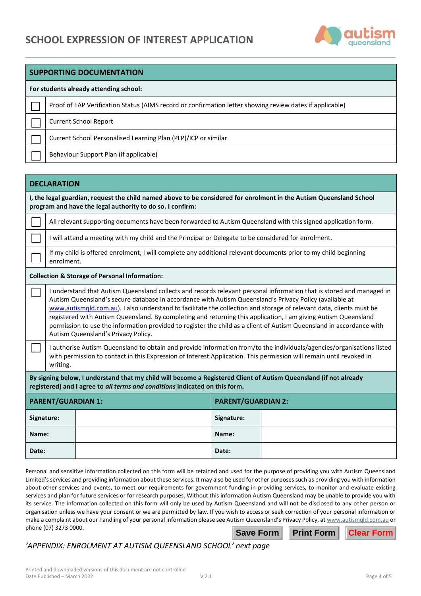

| <b>SUPPORTING DOCUMENTATION</b>                                                                                                                                                                                                                                                                                                                                                                                                                                                                                                                                                                                                         |  |  |  |  |
|-----------------------------------------------------------------------------------------------------------------------------------------------------------------------------------------------------------------------------------------------------------------------------------------------------------------------------------------------------------------------------------------------------------------------------------------------------------------------------------------------------------------------------------------------------------------------------------------------------------------------------------------|--|--|--|--|
| For students already attending school:                                                                                                                                                                                                                                                                                                                                                                                                                                                                                                                                                                                                  |  |  |  |  |
| Proof of EAP Verification Status (AIMS record or confirmation letter showing review dates if applicable)                                                                                                                                                                                                                                                                                                                                                                                                                                                                                                                                |  |  |  |  |
| <b>Current School Report</b>                                                                                                                                                                                                                                                                                                                                                                                                                                                                                                                                                                                                            |  |  |  |  |
| Current School Personalised Learning Plan (PLP)/ICP or similar                                                                                                                                                                                                                                                                                                                                                                                                                                                                                                                                                                          |  |  |  |  |
| Behaviour Support Plan (if applicable)                                                                                                                                                                                                                                                                                                                                                                                                                                                                                                                                                                                                  |  |  |  |  |
|                                                                                                                                                                                                                                                                                                                                                                                                                                                                                                                                                                                                                                         |  |  |  |  |
| <b>DECLARATION</b>                                                                                                                                                                                                                                                                                                                                                                                                                                                                                                                                                                                                                      |  |  |  |  |
| I, the legal guardian, request the child named above to be considered for enrolment in the Autism Queensland School<br>program and have the legal authority to do so. I confirm:                                                                                                                                                                                                                                                                                                                                                                                                                                                        |  |  |  |  |
| All relevant supporting documents have been forwarded to Autism Queensland with this signed application form.                                                                                                                                                                                                                                                                                                                                                                                                                                                                                                                           |  |  |  |  |
| I will attend a meeting with my child and the Principal or Delegate to be considered for enrolment.                                                                                                                                                                                                                                                                                                                                                                                                                                                                                                                                     |  |  |  |  |
| If my child is offered enrolment, I will complete any additional relevant documents prior to my child beginning<br>enrolment.                                                                                                                                                                                                                                                                                                                                                                                                                                                                                                           |  |  |  |  |
| <b>Collection &amp; Storage of Personal Information:</b>                                                                                                                                                                                                                                                                                                                                                                                                                                                                                                                                                                                |  |  |  |  |
| I understand that Autism Queensland collects and records relevant personal information that is stored and managed in<br>Autism Queensland's secure database in accordance with Autism Queensland's Privacy Policy (available at<br>www.autismqld.com.au). I also understand to facilitate the collection and storage of relevant data, clients must be<br>registered with Autism Queensland. By completing and returning this application, I am giving Autism Queensland<br>permission to use the information provided to register the child as a client of Autism Queensland in accordance with<br>Autism Queensland's Privacy Policy. |  |  |  |  |
| I authorise Autism Queensland to obtain and provide information from/to the individuals/agencies/organisations listed<br>with permission to contact in this Expression of Interest Application. This permission will remain until revoked in<br>writing.                                                                                                                                                                                                                                                                                                                                                                                |  |  |  |  |
| By signing below, I understand that my child will become a Registered Client of Autism Queensland (if not already<br>registered) and I agree to all terms and conditions indicated on this form.                                                                                                                                                                                                                                                                                                                                                                                                                                        |  |  |  |  |
| <b>PARENT/GUARDIAN 1:</b><br><b>PARENT/GUARDIAN 2.</b>                                                                                                                                                                                                                                                                                                                                                                                                                                                                                                                                                                                  |  |  |  |  |

| <b>PARENT/GUARDIAN 1:</b> | <b>PARENT/GUARDIAN 2:</b> |
|---------------------------|---------------------------|
| Signature:                | Signature:                |
| Name:                     | Name:                     |
| Date:                     | Date:                     |

Personal and sensitive information collected on this form will be retained and used for the purpose of providing you with Autism Queensland Limited's services and providing information about these services. It may also be used for other purposes such as providing you with information about other services and events, to meet our requirements for government funding in providing services, to monitor and evaluate existing services and plan for future services or for research purposes. Without this information Autism Queensland may be unable to provide you with its service. The information collected on this form will only be used by Autism Queensland and will not be disclosed to any other person or organisation unless we have your consent or we are permitted by law. If you wish to access or seek correction of your personal information or make a complaint about our handling of your personal information please see Autism Queensland's Privacy Policy, at [www.autismqld.com.au](http://www.autismqld.com.au/) or phone (07) 3273 0000. **Save Form Print Form Clear Form**

## *'APPENDIX: ENROLMENT AT AUTISM QUEENSLAND SCHOOL' next page*